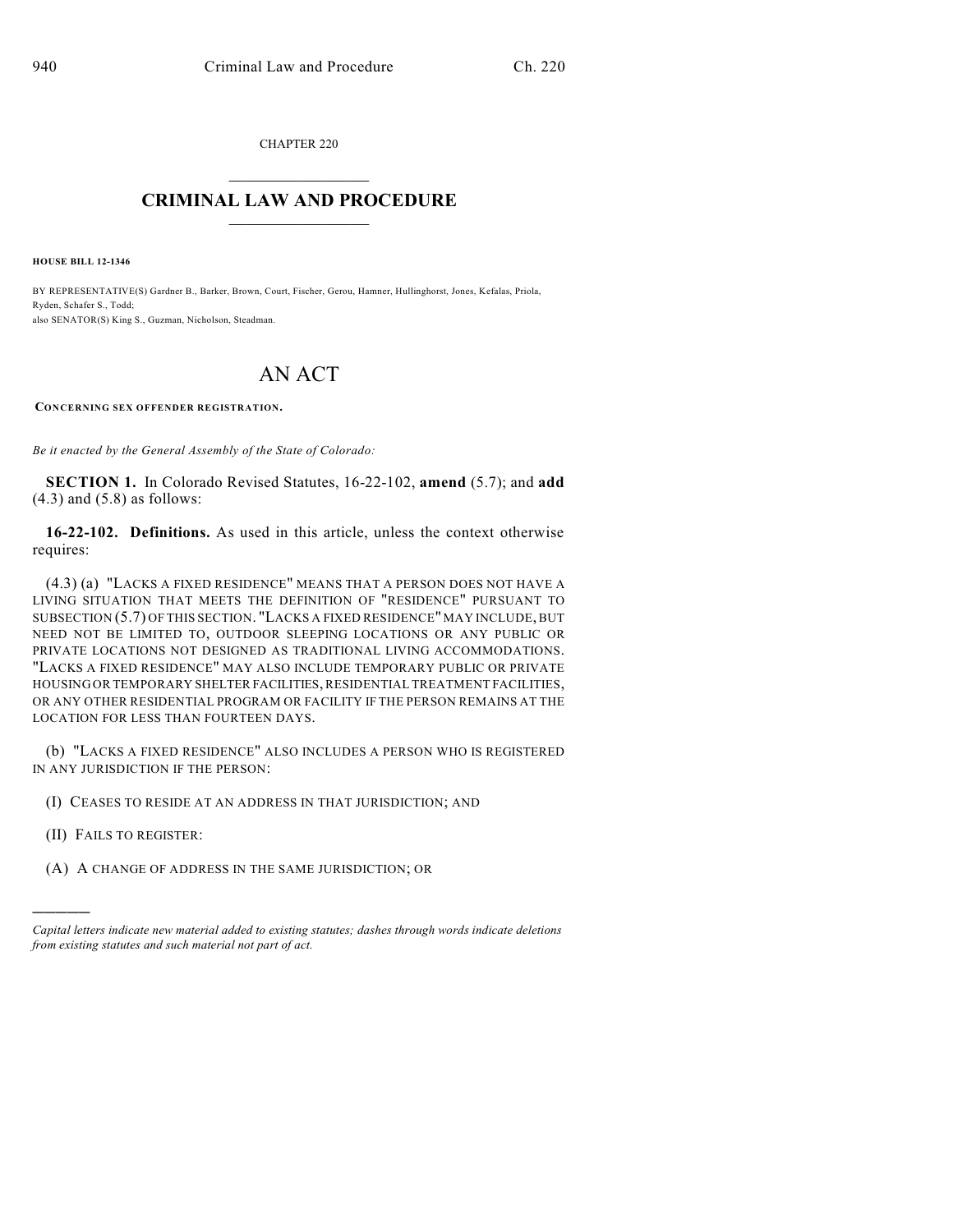CHAPTER 220

## $\mathcal{L}_\text{max}$  . The set of the set of the set of the set of the set of the set of the set of the set of the set of the set of the set of the set of the set of the set of the set of the set of the set of the set of the set **CRIMINAL LAW AND PROCEDURE**  $\frac{1}{2}$  ,  $\frac{1}{2}$  ,  $\frac{1}{2}$  ,  $\frac{1}{2}$  ,  $\frac{1}{2}$  ,  $\frac{1}{2}$  ,  $\frac{1}{2}$

**HOUSE BILL 12-1346**

BY REPRESENTATIVE(S) Gardner B., Barker, Brown, Court, Fischer, Gerou, Hamner, Hullinghorst, Jones, Kefalas, Priola, Ryden, Schafer S., Todd; also SENATOR(S) King S., Guzman, Nicholson, Steadman.

## AN ACT

**CONCERNING SEX OFFENDER REGISTRATION.**

*Be it enacted by the General Assembly of the State of Colorado:*

**SECTION 1.** In Colorado Revised Statutes, 16-22-102, **amend** (5.7); and **add**  $(4.3)$  and  $(5.8)$  as follows:

**16-22-102. Definitions.** As used in this article, unless the context otherwise requires:

(4.3) (a) "LACKS A FIXED RESIDENCE" MEANS THAT A PERSON DOES NOT HAVE A LIVING SITUATION THAT MEETS THE DEFINITION OF "RESIDENCE" PURSUANT TO SUBSECTION (5.7) OF THIS SECTION. "LACKS A FIXED RESIDENCE" MAY INCLUDE, BUT NEED NOT BE LIMITED TO, OUTDOOR SLEEPING LOCATIONS OR ANY PUBLIC OR PRIVATE LOCATIONS NOT DESIGNED AS TRADITIONAL LIVING ACCOMMODATIONS. "LACKS A FIXED RESIDENCE" MAY ALSO INCLUDE TEMPORARY PUBLIC OR PRIVATE HOUSING OR TEMPORARY SHELTER FACILITIES, RESIDENTIAL TREATMENT FACILITIES, OR ANY OTHER RESIDENTIAL PROGRAM OR FACILITY IF THE PERSON REMAINS AT THE LOCATION FOR LESS THAN FOURTEEN DAYS.

(b) "LACKS A FIXED RESIDENCE" ALSO INCLUDES A PERSON WHO IS REGISTERED IN ANY JURISDICTION IF THE PERSON:

(I) CEASES TO RESIDE AT AN ADDRESS IN THAT JURISDICTION; AND

(II) FAILS TO REGISTER:

)))))

(A) A CHANGE OF ADDRESS IN THE SAME JURISDICTION; OR

*Capital letters indicate new material added to existing statutes; dashes through words indicate deletions from existing statutes and such material not part of act.*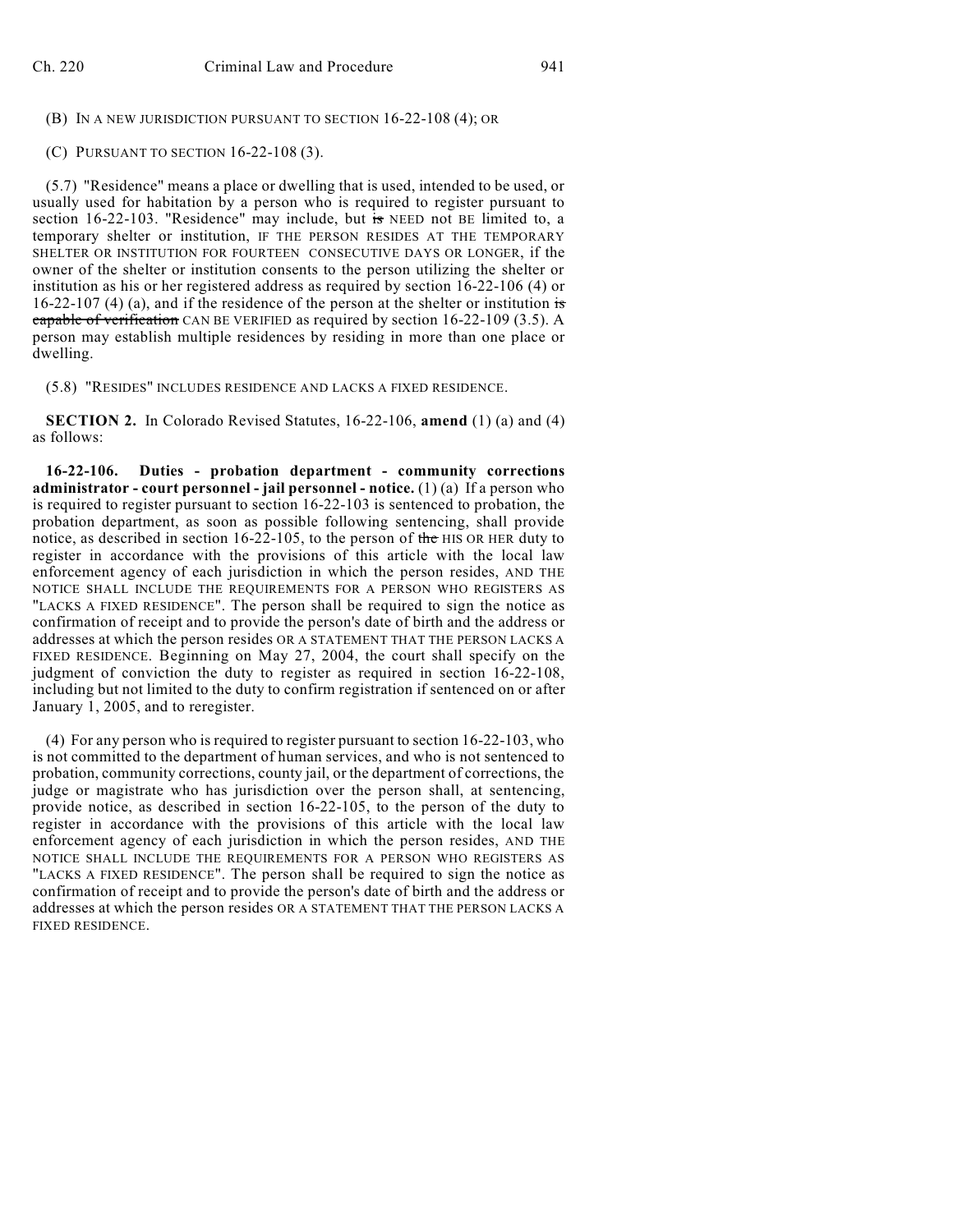(B) IN A NEW JURISDICTION PURSUANT TO SECTION 16-22-108 (4); OR

(C) PURSUANT TO SECTION 16-22-108 (3).

(5.7) "Residence" means a place or dwelling that is used, intended to be used, or usually used for habitation by a person who is required to register pursuant to section 16-22-103. "Residence" may include, but  $\frac{1}{15}$  NEED not BE limited to, a temporary shelter or institution, IF THE PERSON RESIDES AT THE TEMPORARY SHELTER OR INSTITUTION FOR FOURTEEN CONSECUTIVE DAYS OR LONGER, if the owner of the shelter or institution consents to the person utilizing the shelter or institution as his or her registered address as required by section 16-22-106 (4) or 16-22-107 (4) (a), and if the residence of the person at the shelter or institution is capable of verification CAN BE VERIFIED as required by section 16-22-109 (3.5). A person may establish multiple residences by residing in more than one place or dwelling.

(5.8) "RESIDES" INCLUDES RESIDENCE AND LACKS A FIXED RESIDENCE.

**SECTION 2.** In Colorado Revised Statutes, 16-22-106, **amend** (1) (a) and (4) as follows:

**16-22-106. Duties - probation department - community corrections administrator - court personnel - jail personnel - notice.** (1) (a) If a person who is required to register pursuant to section 16-22-103 is sentenced to probation, the probation department, as soon as possible following sentencing, shall provide notice, as described in section 16-22-105, to the person of the HIS OR HER duty to register in accordance with the provisions of this article with the local law enforcement agency of each jurisdiction in which the person resides, AND THE NOTICE SHALL INCLUDE THE REQUIREMENTS FOR A PERSON WHO REGISTERS AS "LACKS A FIXED RESIDENCE". The person shall be required to sign the notice as confirmation of receipt and to provide the person's date of birth and the address or addresses at which the person resides OR A STATEMENT THAT THE PERSON LACKS A FIXED RESIDENCE. Beginning on May 27, 2004, the court shall specify on the judgment of conviction the duty to register as required in section 16-22-108, including but not limited to the duty to confirm registration if sentenced on or after January 1, 2005, and to reregister.

(4) For any person who is required to register pursuant to section 16-22-103, who is not committed to the department of human services, and who is not sentenced to probation, community corrections, county jail, or the department of corrections, the judge or magistrate who has jurisdiction over the person shall, at sentencing, provide notice, as described in section 16-22-105, to the person of the duty to register in accordance with the provisions of this article with the local law enforcement agency of each jurisdiction in which the person resides, AND THE NOTICE SHALL INCLUDE THE REQUIREMENTS FOR A PERSON WHO REGISTERS AS "LACKS A FIXED RESIDENCE". The person shall be required to sign the notice as confirmation of receipt and to provide the person's date of birth and the address or addresses at which the person resides OR A STATEMENT THAT THE PERSON LACKS A FIXED RESIDENCE.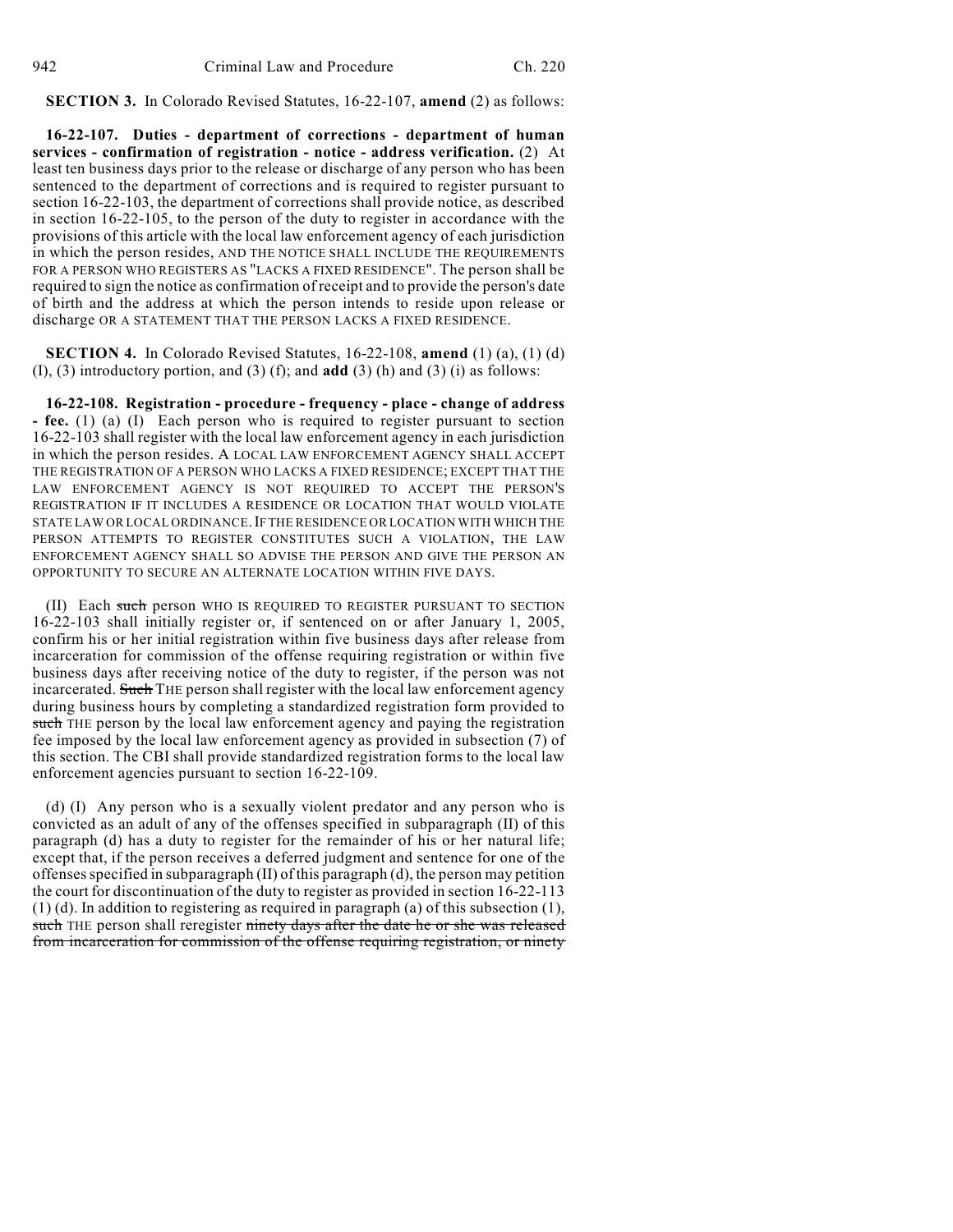**SECTION 3.** In Colorado Revised Statutes, 16-22-107, **amend** (2) as follows:

**16-22-107. Duties - department of corrections - department of human services - confirmation of registration - notice - address verification.** (2) At least ten business days prior to the release or discharge of any person who has been sentenced to the department of corrections and is required to register pursuant to section 16-22-103, the department of corrections shall provide notice, as described in section 16-22-105, to the person of the duty to register in accordance with the provisions of this article with the local law enforcement agency of each jurisdiction in which the person resides, AND THE NOTICE SHALL INCLUDE THE REQUIREMENTS FOR A PERSON WHO REGISTERS AS "LACKS A FIXED RESIDENCE". The person shall be required to sign the notice as confirmation of receipt and to provide the person's date of birth and the address at which the person intends to reside upon release or discharge OR A STATEMENT THAT THE PERSON LACKS A FIXED RESIDENCE.

**SECTION 4.** In Colorado Revised Statutes, 16-22-108, **amend** (1) (a), (1) (d) (I), (3) introductory portion, and (3) (f); and **add** (3) (h) and (3) (i) as follows:

**16-22-108. Registration - procedure - frequency - place - change of address - fee.** (1) (a) (I) Each person who is required to register pursuant to section 16-22-103 shall register with the local law enforcement agency in each jurisdiction in which the person resides. A LOCAL LAW ENFORCEMENT AGENCY SHALL ACCEPT THE REGISTRATION OF A PERSON WHO LACKS A FIXED RESIDENCE; EXCEPT THAT THE LAW ENFORCEMENT AGENCY IS NOT REQUIRED TO ACCEPT THE PERSON'S REGISTRATION IF IT INCLUDES A RESIDENCE OR LOCATION THAT WOULD VIOLATE STATE LAW OR LOCAL ORDINANCE.IF THE RESIDENCE OR LOCATION WITH WHICH THE PERSON ATTEMPTS TO REGISTER CONSTITUTES SUCH A VIOLATION, THE LAW ENFORCEMENT AGENCY SHALL SO ADVISE THE PERSON AND GIVE THE PERSON AN OPPORTUNITY TO SECURE AN ALTERNATE LOCATION WITHIN FIVE DAYS.

(II) Each such person WHO IS REQUIRED TO REGISTER PURSUANT TO SECTION 16-22-103 shall initially register or, if sentenced on or after January 1, 2005, confirm his or her initial registration within five business days after release from incarceration for commission of the offense requiring registration or within five business days after receiving notice of the duty to register, if the person was not incarcerated. Such THE person shall register with the local law enforcement agency during business hours by completing a standardized registration form provided to such THE person by the local law enforcement agency and paying the registration fee imposed by the local law enforcement agency as provided in subsection (7) of this section. The CBI shall provide standardized registration forms to the local law enforcement agencies pursuant to section 16-22-109.

(d) (I) Any person who is a sexually violent predator and any person who is convicted as an adult of any of the offenses specified in subparagraph (II) of this paragraph (d) has a duty to register for the remainder of his or her natural life; except that, if the person receives a deferred judgment and sentence for one of the offenses specified in subparagraph  $(II)$  of this paragraph  $(d)$ , the person may petition the court for discontinuation of the duty to register as provided in section 16-22-113 (1) (d). In addition to registering as required in paragraph (a) of this subsection (1), such THE person shall reregister ninety days after the date he or she was released from incarceration for commission of the offense requiring registration, or ninety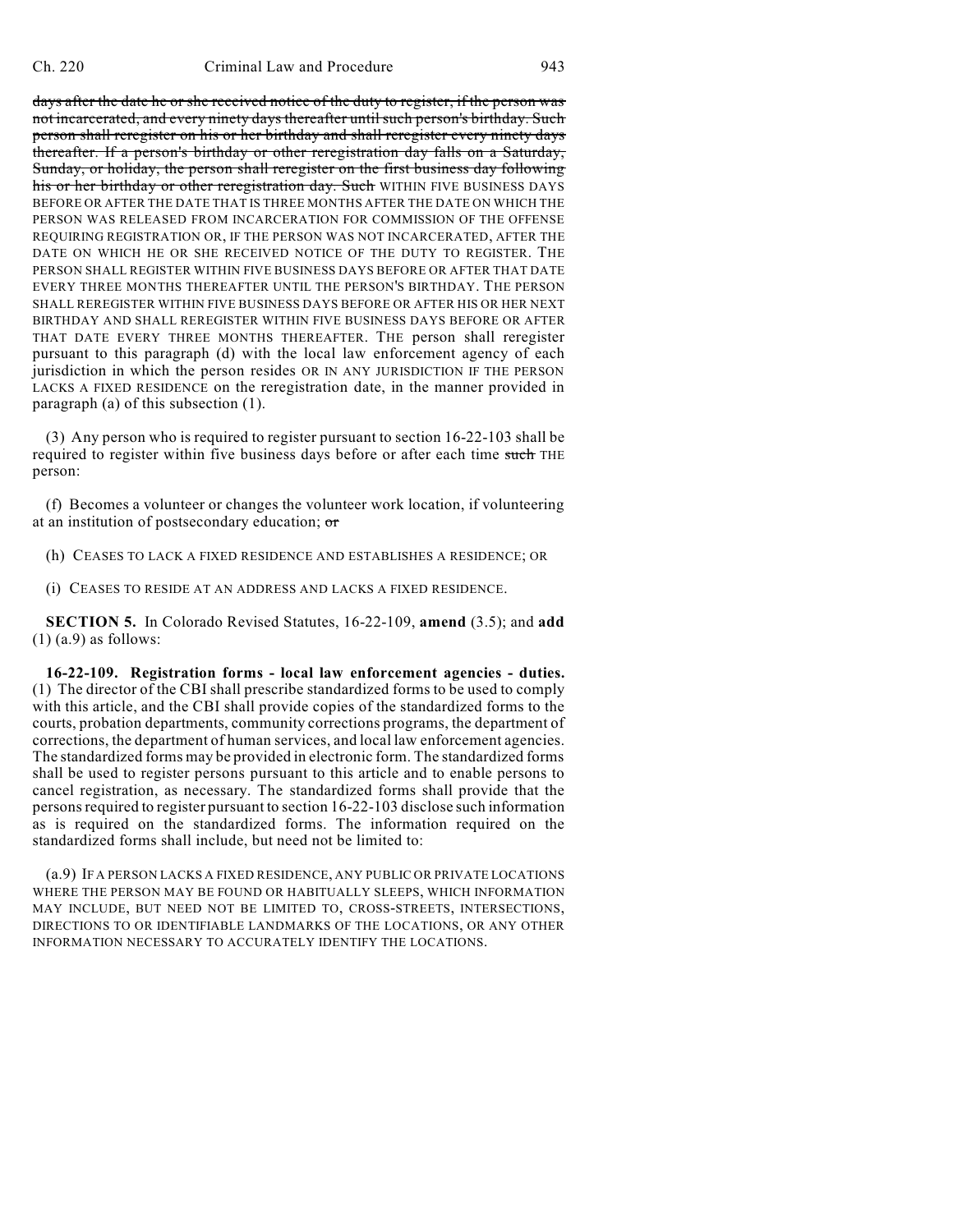days after the date he or she received notice of the duty to register, if the person was not incarcerated, and every ninety days thereafter until such person's birthday. Such person shall reregister on his or her birthday and shall reregister every ninety days thereafter. If a person's birthday or other reregistration day falls on a Saturday, Sunday, or holiday, the person shall reregister on the first business day following his or her birthday or other reregistration day. Such WITHIN FIVE BUSINESS DAYS BEFORE OR AFTER THE DATE THAT IS THREE MONTHS AFTER THE DATE ON WHICH THE PERSON WAS RELEASED FROM INCARCERATION FOR COMMISSION OF THE OFFENSE REQUIRING REGISTRATION OR, IF THE PERSON WAS NOT INCARCERATED, AFTER THE DATE ON WHICH HE OR SHE RECEIVED NOTICE OF THE DUTY TO REGISTER. THE PERSON SHALL REGISTER WITHIN FIVE BUSINESS DAYS BEFORE OR AFTER THAT DATE EVERY THREE MONTHS THEREAFTER UNTIL THE PERSON'S BIRTHDAY. THE PERSON SHALL REREGISTER WITHIN FIVE BUSINESS DAYS BEFORE OR AFTER HIS OR HER NEXT BIRTHDAY AND SHALL REREGISTER WITHIN FIVE BUSINESS DAYS BEFORE OR AFTER THAT DATE EVERY THREE MONTHS THEREAFTER. THE person shall reregister pursuant to this paragraph (d) with the local law enforcement agency of each jurisdiction in which the person resides OR IN ANY JURISDICTION IF THE PERSON LACKS A FIXED RESIDENCE on the reregistration date, in the manner provided in paragraph (a) of this subsection (1).

(3) Any person who is required to register pursuant to section 16-22-103 shall be required to register within five business days before or after each time such THE person:

(f) Becomes a volunteer or changes the volunteer work location, if volunteering at an institution of postsecondary education; or

(h) CEASES TO LACK A FIXED RESIDENCE AND ESTABLISHES A RESIDENCE; OR

(i) CEASES TO RESIDE AT AN ADDRESS AND LACKS A FIXED RESIDENCE.

**SECTION 5.** In Colorado Revised Statutes, 16-22-109, **amend** (3.5); and **add** (1) (a.9) as follows:

**16-22-109. Registration forms - local law enforcement agencies - duties.** (1) The director of the CBI shall prescribe standardized forms to be used to comply with this article, and the CBI shall provide copies of the standardized forms to the courts, probation departments, community corrections programs, the department of corrections, the department of human services, and local law enforcement agencies. The standardized forms may be provided in electronic form. The standardized forms shall be used to register persons pursuant to this article and to enable persons to cancel registration, as necessary. The standardized forms shall provide that the personsrequired to register pursuant to section 16-22-103 disclose such information as is required on the standardized forms. The information required on the standardized forms shall include, but need not be limited to:

(a.9) IF A PERSON LACKS A FIXED RESIDENCE, ANY PUBLIC OR PRIVATE LOCATIONS WHERE THE PERSON MAY BE FOUND OR HABITUALLY SLEEPS, WHICH INFORMATION MAY INCLUDE, BUT NEED NOT BE LIMITED TO, CROSS-STREETS, INTERSECTIONS, DIRECTIONS TO OR IDENTIFIABLE LANDMARKS OF THE LOCATIONS, OR ANY OTHER INFORMATION NECESSARY TO ACCURATELY IDENTIFY THE LOCATIONS.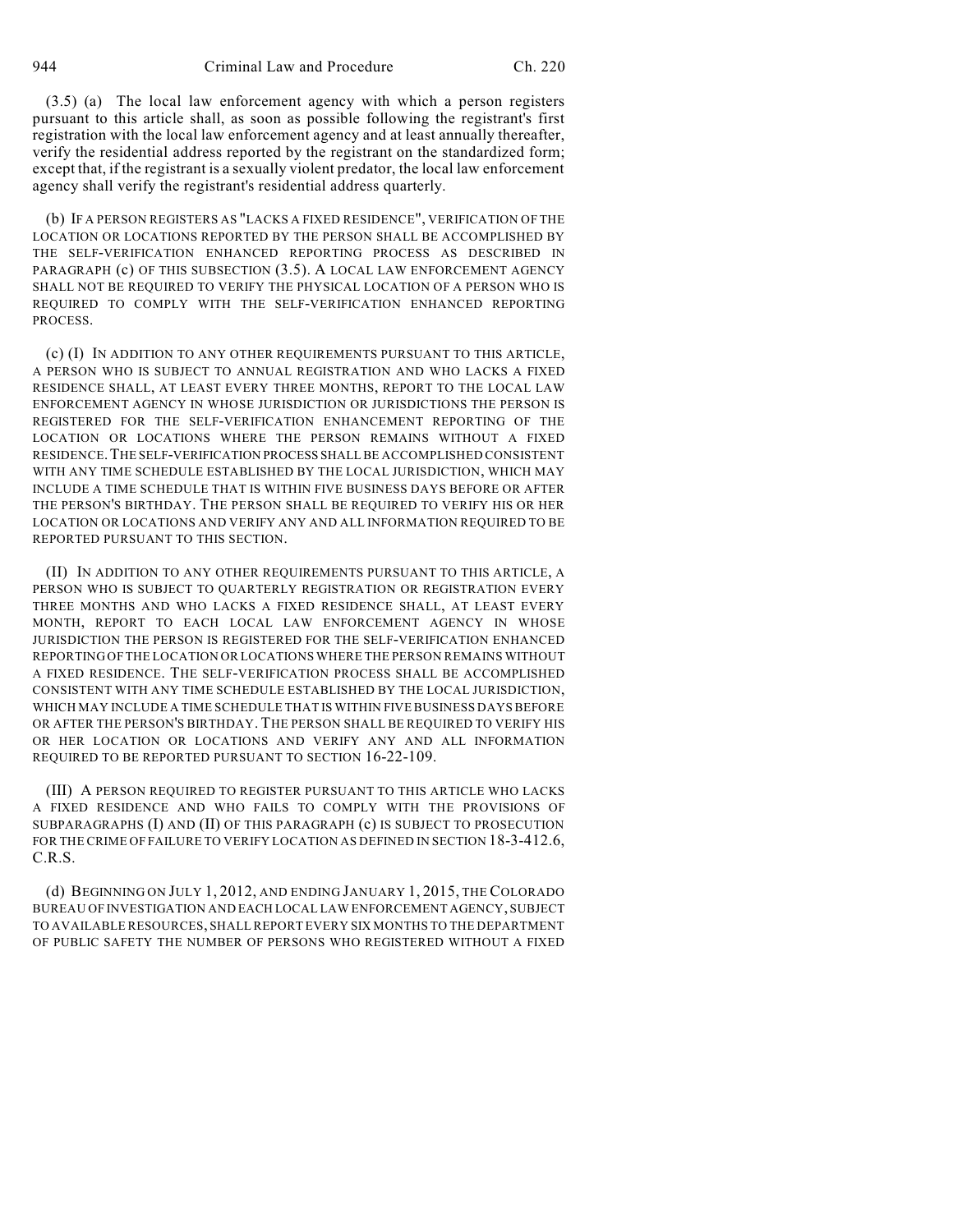(3.5) (a) The local law enforcement agency with which a person registers pursuant to this article shall, as soon as possible following the registrant's first registration with the local law enforcement agency and at least annually thereafter, verify the residential address reported by the registrant on the standardized form; except that, if the registrant is a sexually violent predator, the local law enforcement agency shall verify the registrant's residential address quarterly.

(b) IF A PERSON REGISTERS AS "LACKS A FIXED RESIDENCE", VERIFICATION OF THE LOCATION OR LOCATIONS REPORTED BY THE PERSON SHALL BE ACCOMPLISHED BY THE SELF-VERIFICATION ENHANCED REPORTING PROCESS AS DESCRIBED IN PARAGRAPH (c) OF THIS SUBSECTION (3.5). A LOCAL LAW ENFORCEMENT AGENCY SHALL NOT BE REQUIRED TO VERIFY THE PHYSICAL LOCATION OF A PERSON WHO IS REQUIRED TO COMPLY WITH THE SELF-VERIFICATION ENHANCED REPORTING PROCESS.

(c) (I) IN ADDITION TO ANY OTHER REQUIREMENTS PURSUANT TO THIS ARTICLE, A PERSON WHO IS SUBJECT TO ANNUAL REGISTRATION AND WHO LACKS A FIXED RESIDENCE SHALL, AT LEAST EVERY THREE MONTHS, REPORT TO THE LOCAL LAW ENFORCEMENT AGENCY IN WHOSE JURISDICTION OR JURISDICTIONS THE PERSON IS REGISTERED FOR THE SELF-VERIFICATION ENHANCEMENT REPORTING OF THE LOCATION OR LOCATIONS WHERE THE PERSON REMAINS WITHOUT A FIXED RESIDENCE.THE SELF-VERIFICATION PROCESS SHALL BE ACCOMPLISHED CONSISTENT WITH ANY TIME SCHEDULE ESTABLISHED BY THE LOCAL JURISDICTION, WHICH MAY INCLUDE A TIME SCHEDULE THAT IS WITHIN FIVE BUSINESS DAYS BEFORE OR AFTER THE PERSON'S BIRTHDAY. THE PERSON SHALL BE REQUIRED TO VERIFY HIS OR HER LOCATION OR LOCATIONS AND VERIFY ANY AND ALL INFORMATION REQUIRED TO BE REPORTED PURSUANT TO THIS SECTION.

(II) IN ADDITION TO ANY OTHER REQUIREMENTS PURSUANT TO THIS ARTICLE, A PERSON WHO IS SUBJECT TO QUARTERLY REGISTRATION OR REGISTRATION EVERY THREE MONTHS AND WHO LACKS A FIXED RESIDENCE SHALL, AT LEAST EVERY MONTH, REPORT TO EACH LOCAL LAW ENFORCEMENT AGENCY IN WHOSE JURISDICTION THE PERSON IS REGISTERED FOR THE SELF-VERIFICATION ENHANCED REPORTING OF THE LOCATION OR LOCATIONS WHERE THE PERSON REMAINS WITHOUT A FIXED RESIDENCE. THE SELF-VERIFICATION PROCESS SHALL BE ACCOMPLISHED CONSISTENT WITH ANY TIME SCHEDULE ESTABLISHED BY THE LOCAL JURISDICTION, WHICH MAY INCLUDE A TIME SCHEDULE THAT IS WITHIN FIVE BUSINESS DAYS BEFORE OR AFTER THE PERSON'S BIRTHDAY. THE PERSON SHALL BE REQUIRED TO VERIFY HIS OR HER LOCATION OR LOCATIONS AND VERIFY ANY AND ALL INFORMATION REQUIRED TO BE REPORTED PURSUANT TO SECTION 16-22-109.

(III) A PERSON REQUIRED TO REGISTER PURSUANT TO THIS ARTICLE WHO LACKS A FIXED RESIDENCE AND WHO FAILS TO COMPLY WITH THE PROVISIONS OF SUBPARAGRAPHS (I) AND (II) OF THIS PARAGRAPH (c) IS SUBJECT TO PROSECUTION FOR THE CRIME OF FAILURE TO VERIFY LOCATION AS DEFINED IN SECTION 18-3-412.6, C.R.S.

(d) BEGINNING ON JULY 1, 2012, AND ENDING JANUARY 1, 2015, THE COLORADO BUREAU OF INVESTIGATION AND EACH LOCAL LAW ENFORCEMENT AGENCY, SUBJECT TO AVAILABLE RESOURCES, SHALL REPORT EVERY SIX MONTHS TO THE DEPARTMENT OF PUBLIC SAFETY THE NUMBER OF PERSONS WHO REGISTERED WITHOUT A FIXED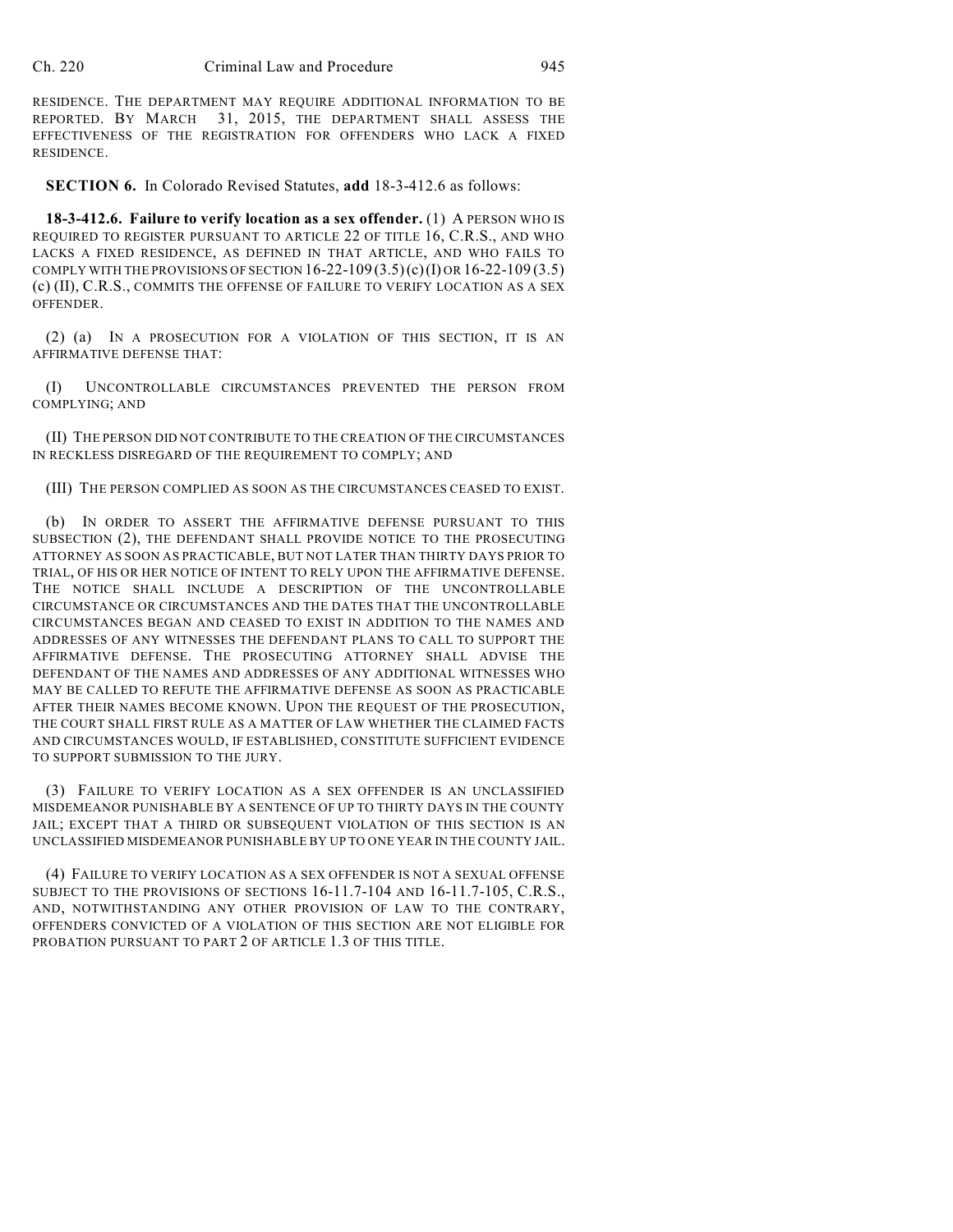RESIDENCE. THE DEPARTMENT MAY REQUIRE ADDITIONAL INFORMATION TO BE REPORTED. BY MARCH 31, 2015, THE DEPARTMENT SHALL ASSESS THE EFFECTIVENESS OF THE REGISTRATION FOR OFFENDERS WHO LACK A FIXED RESIDENCE.

**SECTION 6.** In Colorado Revised Statutes, **add** 18-3-412.6 as follows:

**18-3-412.6. Failure to verify location as a sex offender.** (1) A PERSON WHO IS REQUIRED TO REGISTER PURSUANT TO ARTICLE 22 OF TITLE 16, C.R.S., AND WHO LACKS A FIXED RESIDENCE, AS DEFINED IN THAT ARTICLE, AND WHO FAILS TO COMPLY WITH THE PROVISIONS OF SECTION  $16-22-109(3.5)(c)(I)$  OR  $16-22-109(3.5)$ (c) (II), C.R.S., COMMITS THE OFFENSE OF FAILURE TO VERIFY LOCATION AS A SEX OFFENDER.

(2) (a) IN A PROSECUTION FOR A VIOLATION OF THIS SECTION, IT IS AN AFFIRMATIVE DEFENSE THAT:

(I) UNCONTROLLABLE CIRCUMSTANCES PREVENTED THE PERSON FROM COMPLYING; AND

(II) THE PERSON DID NOT CONTRIBUTE TO THE CREATION OF THE CIRCUMSTANCES IN RECKLESS DISREGARD OF THE REQUIREMENT TO COMPLY; AND

(III) THE PERSON COMPLIED AS SOON AS THE CIRCUMSTANCES CEASED TO EXIST.

(b) IN ORDER TO ASSERT THE AFFIRMATIVE DEFENSE PURSUANT TO THIS SUBSECTION (2), THE DEFENDANT SHALL PROVIDE NOTICE TO THE PROSECUTING ATTORNEY AS SOON AS PRACTICABLE, BUT NOT LATER THAN THIRTY DAYS PRIOR TO TRIAL, OF HIS OR HER NOTICE OF INTENT TO RELY UPON THE AFFIRMATIVE DEFENSE. THE NOTICE SHALL INCLUDE A DESCRIPTION OF THE UNCONTROLLABLE CIRCUMSTANCE OR CIRCUMSTANCES AND THE DATES THAT THE UNCONTROLLABLE CIRCUMSTANCES BEGAN AND CEASED TO EXIST IN ADDITION TO THE NAMES AND ADDRESSES OF ANY WITNESSES THE DEFENDANT PLANS TO CALL TO SUPPORT THE AFFIRMATIVE DEFENSE. THE PROSECUTING ATTORNEY SHALL ADVISE THE DEFENDANT OF THE NAMES AND ADDRESSES OF ANY ADDITIONAL WITNESSES WHO MAY BE CALLED TO REFUTE THE AFFIRMATIVE DEFENSE AS SOON AS PRACTICABLE AFTER THEIR NAMES BECOME KNOWN. UPON THE REQUEST OF THE PROSECUTION, THE COURT SHALL FIRST RULE AS A MATTER OF LAW WHETHER THE CLAIMED FACTS AND CIRCUMSTANCES WOULD, IF ESTABLISHED, CONSTITUTE SUFFICIENT EVIDENCE TO SUPPORT SUBMISSION TO THE JURY.

(3) FAILURE TO VERIFY LOCATION AS A SEX OFFENDER IS AN UNCLASSIFIED MISDEMEANOR PUNISHABLE BY A SENTENCE OF UP TO THIRTY DAYS IN THE COUNTY JAIL; EXCEPT THAT A THIRD OR SUBSEQUENT VIOLATION OF THIS SECTION IS AN UNCLASSIFIED MISDEMEANOR PUNISHABLE BY UP TO ONE YEAR IN THE COUNTY JAIL.

(4) FAILURE TO VERIFY LOCATION AS A SEX OFFENDER IS NOT A SEXUAL OFFENSE SUBJECT TO THE PROVISIONS OF SECTIONS 16-11.7-104 AND 16-11.7-105, C.R.S., AND, NOTWITHSTANDING ANY OTHER PROVISION OF LAW TO THE CONTRARY, OFFENDERS CONVICTED OF A VIOLATION OF THIS SECTION ARE NOT ELIGIBLE FOR PROBATION PURSUANT TO PART 2 OF ARTICLE 1.3 OF THIS TITLE.